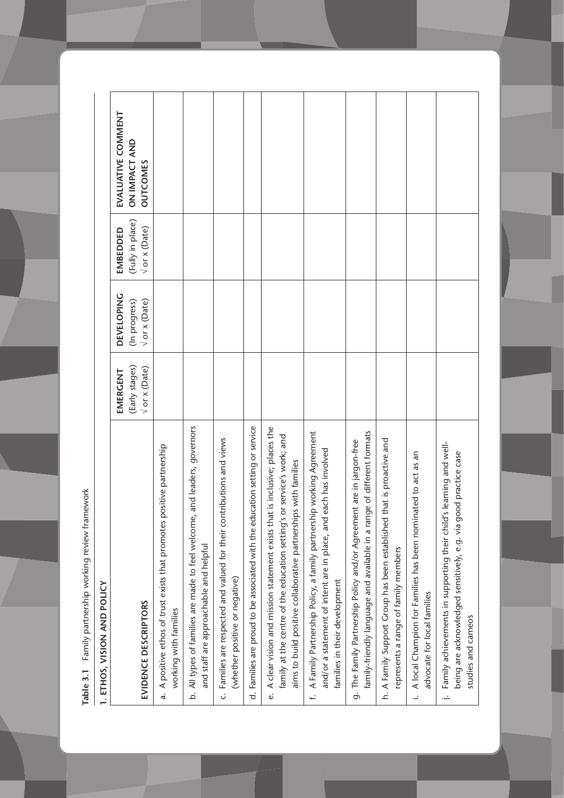Table 3.1 Family partnership working review framework **Table 3.1** Family partnership working review framework

| ı      |
|--------|
|        |
|        |
|        |
| l      |
|        |
| l      |
|        |
|        |
|        |
|        |
|        |
| i      |
| i      |
| l<br>ï |
|        |
|        |
|        |
|        |
|        |
|        |
|        |
| ı<br>I |

| EVIDENCE DESCRIPTORS                                                                                                                                                                                                      | (Early stages)<br>$\sqrt{or}$ x (Date)<br>EMERGENT | <b>DEVELOPING</b><br>$\sqrt{or}$ x (Date)<br>(In progress) | (Fully in place)<br>$\sqrt{or}$ x (Date)<br>EMBEDDED | EVALUATIVE COMMENT<br>ON IMPACT AND<br><b>OUTCOMES</b> |
|---------------------------------------------------------------------------------------------------------------------------------------------------------------------------------------------------------------------------|----------------------------------------------------|------------------------------------------------------------|------------------------------------------------------|--------------------------------------------------------|
| positive partnership<br>a. A positive ethos of trust exists that promotes<br>working with families                                                                                                                        |                                                    |                                                            |                                                      |                                                        |
| b. All types of families are made to feel welcome, and leaders, governors<br>and staff are approachable and helpful                                                                                                       |                                                    |                                                            |                                                      |                                                        |
| c. Families are respected and valued for their contributions and views<br>(whether positive or negative)                                                                                                                  |                                                    |                                                            |                                                      |                                                        |
| d. Families are proud to be associated with the education setting or service                                                                                                                                              |                                                    |                                                            |                                                      |                                                        |
| e. A clear vision and mission statement exists that is inclusive; places the<br>family at the centre of the education setting's or service's work; and<br>aims to build positive collaborative partnerships with families |                                                    |                                                            |                                                      |                                                        |
| f. A Family Partnership Policy, a family partnership working Agreement<br>each has involved<br>and/or a statement of intent are in place, and<br>families in their development                                            |                                                    |                                                            |                                                      |                                                        |
| family-friendly language and available in a range of different formats<br>g. The Family Partnership Policy and/or Agreement are in jargon-free                                                                            |                                                    |                                                            |                                                      |                                                        |
| that is proactive and<br>h. A Family Support Group has been established<br>represents a range of family members                                                                                                           |                                                    |                                                            |                                                      |                                                        |
| A local Champion for Families has been nominated to act as an<br>advocate for local families<br>÷.                                                                                                                        |                                                    |                                                            |                                                      |                                                        |
| 's learning and well-<br>being are acknowledged sensitively, e.g. via good practice case<br>Family achievements in supporting their child<br>studies and cameos<br>÷.                                                     |                                                    |                                                            |                                                      |                                                        |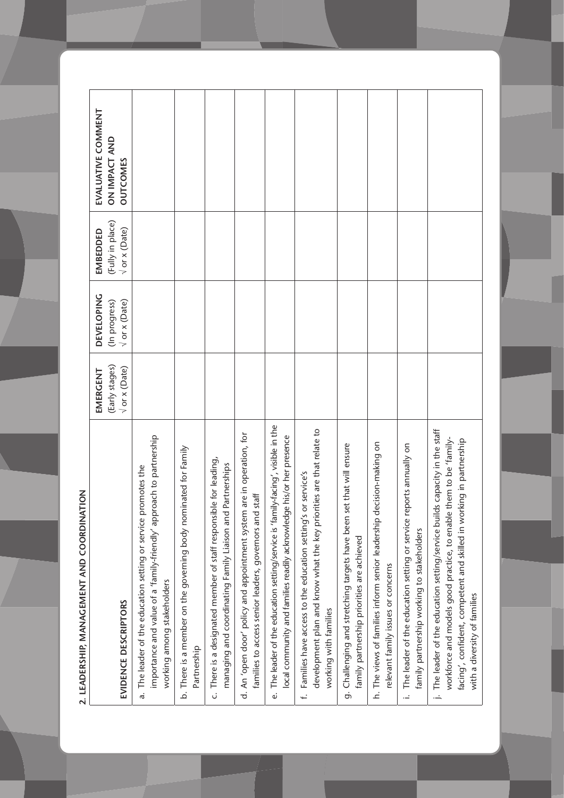2. LEADERSHIP, MANAGEMENT AND COORDINATION **2. LEADERSHIP, MANAGEMENT AND COORDINATION**

|                                                                                                                                                                                                                                                         | EMERGENT                        | <b>DEVELOPING</b>                     | EMBEDDED                                 | EVALUATIVE COMMENT               |
|---------------------------------------------------------------------------------------------------------------------------------------------------------------------------------------------------------------------------------------------------------|---------------------------------|---------------------------------------|------------------------------------------|----------------------------------|
| EVIDENCE DESCRIPTORS                                                                                                                                                                                                                                    | (Early stages)<br>V or x (Date) | $\sqrt{or}$ x (Date)<br>(In progress) | (Fully in place)<br>$\sqrt{or}$ x (Date) | ON IMPACT AND<br><b>OUTCOMES</b> |
| importance and value of a 'family-friendly' approach to partnership<br>promotes the<br>a. The leader of the education setting or service<br>working among stakeholders                                                                                  |                                 |                                       |                                          |                                  |
| b. There is a member on the governing body nominated for Family<br>Partnership                                                                                                                                                                          |                                 |                                       |                                          |                                  |
| c. There is a designated member of staff responsible for leading,<br>managing and coordinating Family Liaison and Partnerships                                                                                                                          |                                 |                                       |                                          |                                  |
| d. An 'open door' policy and appointment system are in operation, for<br>families to access senior leaders, governors and staff                                                                                                                         |                                 |                                       |                                          |                                  |
| e. The leader of the education setting/service is 'family-facing', visible in the<br>local community and families readily acknowledge his/or her presence                                                                                               |                                 |                                       |                                          |                                  |
| development plan and know what the key priorities are that relate to<br>f. Families have access to the education setting's or service's<br>working with families                                                                                        |                                 |                                       |                                          |                                  |
| set that will ensure<br>g. Challenging and stretching targets have been<br>family partnership priorities are achieved                                                                                                                                   |                                 |                                       |                                          |                                  |
| decision-making on<br>h. The views of families inform senior leadership<br>relevant family issues or concerns                                                                                                                                           |                                 |                                       |                                          |                                  |
| reports annually on<br>i. The leader of the education setting or service<br>family partnership working to stakeholders                                                                                                                                  |                                 |                                       |                                          |                                  |
| j. The leader of the education setting/service builds capacity in the staff<br>workforce and models good practice, to enable them to be 'family-<br>facing', confident, competent and skilled in working in partnership<br>with a diversity of families |                                 |                                       |                                          |                                  |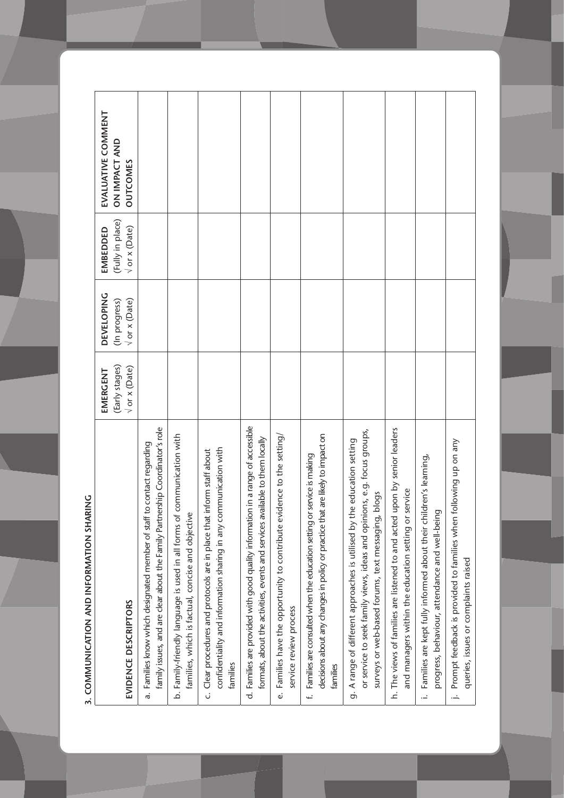| i           |   |
|-------------|---|
|             |   |
| Ξ           |   |
|             |   |
|             |   |
|             |   |
| i           |   |
|             |   |
|             |   |
|             |   |
|             |   |
|             |   |
|             |   |
|             |   |
|             |   |
|             |   |
|             |   |
| ;<br>;<br>; |   |
|             |   |
|             |   |
|             |   |
|             |   |
|             |   |
|             |   |
|             |   |
|             |   |
|             |   |
|             |   |
|             |   |
|             |   |
|             |   |
|             |   |
|             |   |
|             |   |
|             |   |
|             |   |
| !           |   |
|             |   |
| <br> <br>   |   |
|             |   |
|             |   |
|             |   |
|             |   |
|             |   |
|             |   |
|             |   |
|             |   |
|             |   |
|             |   |
|             |   |
|             |   |
|             |   |
|             |   |
|             |   |
|             |   |
|             |   |
|             |   |
|             |   |
| ť           | ı |

|                                                                                                                                                                                                             | EMERGENT                                    | <b>DEVELOPING</b>                     | EMBEDDED                                 | EVALUATIVE COMMENT               |
|-------------------------------------------------------------------------------------------------------------------------------------------------------------------------------------------------------------|---------------------------------------------|---------------------------------------|------------------------------------------|----------------------------------|
| EVIDENCE DESCRIPTORS                                                                                                                                                                                        | (Early stages)<br>$\sqrt{or} \times (Date)$ | $\sqrt{$ or x (Date)<br>(In progress) | (Fully in place)<br>$\sqrt{or}$ x (Date) | ON IMPACT AND<br><b>OUTCOMES</b> |
| family issues, and are clear about the Family Partnership Coordinator's role<br>a. Families know which designated member of staff to contact regarding                                                      |                                             |                                       |                                          |                                  |
| b. Family-friendly language is used in all forms of communication with<br>families, which is factual, concise and objective                                                                                 |                                             |                                       |                                          |                                  |
| confidentiality and information sharing in any communication with<br>c. Clear procedures and protocols are in place that inform staff about<br>families                                                     |                                             |                                       |                                          |                                  |
| d. Families are provided with good quality information in a range of accessible<br>formats, about the activities, events and services available to them locally                                             |                                             |                                       |                                          |                                  |
| e. Families have the opportunity to contribute evidence to the setting/<br>service review process                                                                                                           |                                             |                                       |                                          |                                  |
| decisions about any changes in policy or practice that are likely to impact on<br>f. Families are consulted when the education setting or service is making<br>families                                     |                                             |                                       |                                          |                                  |
| or service to seek family views, ideas and opinions, e.g. focus groups,<br>the education setting<br>surveys or web-based forums, text messaging, blogs<br>g. A range of different approaches is utilised by |                                             |                                       |                                          |                                  |
| h. The views of families are listened to and acted upon by senior leaders<br>and managers within the education setting or service                                                                           |                                             |                                       |                                          |                                  |
| i. Families are kept fully informed about their children's learning,<br>progress, behaviour, attendance and well-being                                                                                      |                                             |                                       |                                          |                                  |
| j. Prompt feedback is provided to families when following up on any<br>queries, issues or complaints raised                                                                                                 |                                             |                                       |                                          |                                  |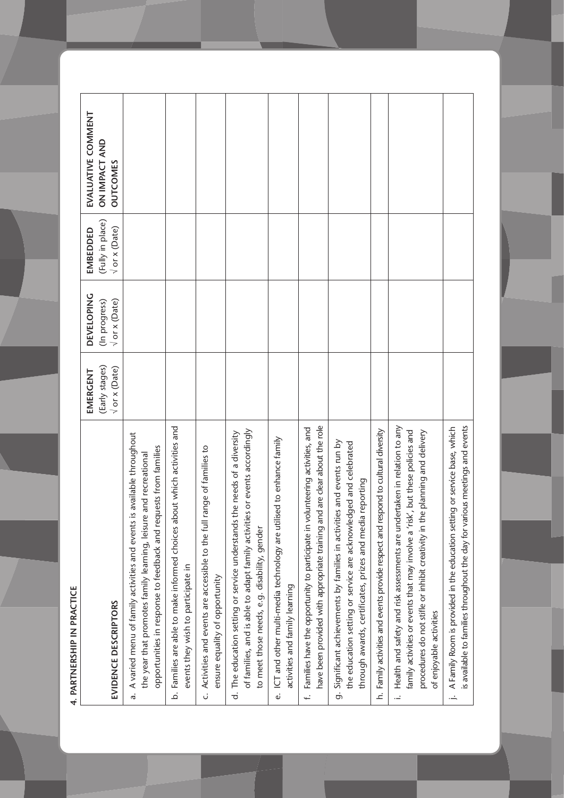4. PARTNERSHIP IN PRACTICE **4. PARTNERSHIP IN PRACTICE**

|                                                                                                                                                                                                                                                                              | EMERGENT                  | <b>DEVELOPING</b>         | EMBEDDED                  | EVALUATIVE COMMENT   |
|------------------------------------------------------------------------------------------------------------------------------------------------------------------------------------------------------------------------------------------------------------------------------|---------------------------|---------------------------|---------------------------|----------------------|
|                                                                                                                                                                                                                                                                              | (Early stages)            | (In progress)             | (Fully in place)          | <b>ON IMPACT AND</b> |
| EVIDENCE DESCRIPTORS                                                                                                                                                                                                                                                         | $\sqrt{or} \times (Date)$ | $\sqrt{or} \times (Date)$ | $\sqrt{or} \times (Date)$ | <b>OUTCOMES</b>      |
| is available throughout<br>opportunities in response to feedback and requests from families<br>e and recreational<br>A varied menu of family activities and events<br>the year that promotes family learning, leisur<br>$\vec{a}$                                            |                           |                           |                           |                      |
| b. Families are able to make informed choices about which activities and<br>events they wish to participate in                                                                                                                                                               |                           |                           |                           |                      |
| range of families to<br>Activities and events are accessible to the full<br>ensure equality of opportunity<br>ن                                                                                                                                                              |                           |                           |                           |                      |
| ies or events accordingly<br>d. The education setting or service understands the needs of a diversity<br>of families, and is able to adapt family activiti<br>to meet those needs, e.g. disability, gender                                                                   |                           |                           |                           |                      |
| ICT and other multi-media technology are utilised to enhance family<br>activities and family learning<br>نه                                                                                                                                                                  |                           |                           |                           |                      |
| have been provided with appropriate training and are clear about the role<br>Families have the opportunity to participate in volunteering activities, and<br>ب<br>پ                                                                                                          |                           |                           |                           |                      |
| g. Significant achievements by families in activities and events run by<br>the education setting or service are acknowledged and celebrated<br>through awards, certificates, prizes and media reporting                                                                      |                           |                           |                           |                      |
| h. Family activities and events provide respect and respond to cultural diversity                                                                                                                                                                                            |                           |                           |                           |                      |
| Health and safety and risk assessments are undertaken in relation to any<br>family activities or events that may involve a 'risk', but these policies and<br>procedures do not stifle or inhibit creativity in the planning and delivery<br>of enjoyable activities<br>.<br> |                           |                           |                           |                      |
| is available to families throughout the day for various meetings and events<br>A Family Room is provided in the education setting or service base, which<br>$\dot{=}$                                                                                                        |                           |                           |                           |                      |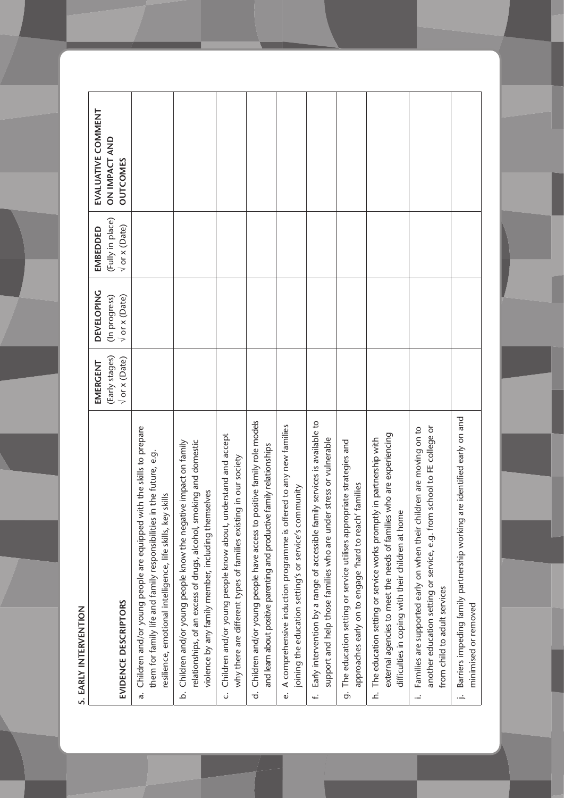5. EARLY INTERVENTION **5. EARLY INTERVENTION**

| EVALUATIVE COMMENT<br><b>ON IMPACT AND</b><br><b>OUTCOMES</b>   |                                                                                                                                                                                                                   |                                                                                                                                                                                                  |                                                                                                                                                  |                                                                                                                                                         |                                                                                                                                    |                                                                                                                                                                |                                                                                                                                      |                                                                                                                                                                                                      |                                                                                                                                                                                                   |                                                                                                                       |
|-----------------------------------------------------------------|-------------------------------------------------------------------------------------------------------------------------------------------------------------------------------------------------------------------|--------------------------------------------------------------------------------------------------------------------------------------------------------------------------------------------------|--------------------------------------------------------------------------------------------------------------------------------------------------|---------------------------------------------------------------------------------------------------------------------------------------------------------|------------------------------------------------------------------------------------------------------------------------------------|----------------------------------------------------------------------------------------------------------------------------------------------------------------|--------------------------------------------------------------------------------------------------------------------------------------|------------------------------------------------------------------------------------------------------------------------------------------------------------------------------------------------------|---------------------------------------------------------------------------------------------------------------------------------------------------------------------------------------------------|-----------------------------------------------------------------------------------------------------------------------|
| (Fully in place)<br>$\sqrt{or} \times (Date)$<br>EMBEDDED       |                                                                                                                                                                                                                   |                                                                                                                                                                                                  |                                                                                                                                                  |                                                                                                                                                         |                                                                                                                                    |                                                                                                                                                                |                                                                                                                                      |                                                                                                                                                                                                      |                                                                                                                                                                                                   |                                                                                                                       |
| <b>DEVELOPING</b><br>$\sqrt{or} \times (Date)$<br>(In progress) |                                                                                                                                                                                                                   |                                                                                                                                                                                                  |                                                                                                                                                  |                                                                                                                                                         |                                                                                                                                    |                                                                                                                                                                |                                                                                                                                      |                                                                                                                                                                                                      |                                                                                                                                                                                                   |                                                                                                                       |
| (Early stages)<br>$\sqrt{or}$ x (Date)<br>EMERGENT              |                                                                                                                                                                                                                   |                                                                                                                                                                                                  |                                                                                                                                                  |                                                                                                                                                         |                                                                                                                                    |                                                                                                                                                                |                                                                                                                                      |                                                                                                                                                                                                      |                                                                                                                                                                                                   |                                                                                                                       |
| EVIDENCE DESCRIPTORS                                            | Children and/or young people are equipped with the skills to prepare<br>them for family life and family responsibilities in the future, e.g.<br>resilience, emotional intelligence, life skills, key skills<br>a. | relationships, of an excess of drugs, alcohol, smoking and domestic<br>b. Children and/or young people know the negative impact on family<br>violence by any family member, including themselves | nderstand and accept<br>ng in our society<br>why there are different types of families existin<br>c. Children and/or young people know about, ur | d. Children and/or young people have access to positive family role models<br>family relationships<br>and learn about positive parenting and productive | A comprehensive induction programme is offered to any new families<br>joining the education setting's or service's community<br>نه | Early intervention by a range of accessible family services is available to<br>support and help those families who are under stress or vulnerable<br>$\ddot{}$ | The education setting or service utilises appropriate strategies and<br>approaches early on to engage 'hard to reach' families<br>တ် | external agencies to meet the needs of families who are experiencing<br>h. The education setting or service works promptly in partnership with<br>difficulties in coping with their children at home | another education setting or service, e.g. from school to FE college or<br>Idren are moving on to<br>Families are supported early on when their chi<br>from child to adult services<br>$\ddot{=}$ | are identified early on and<br>Barriers impeding family partnership working<br>minimised or removed<br>$\overline{a}$ |